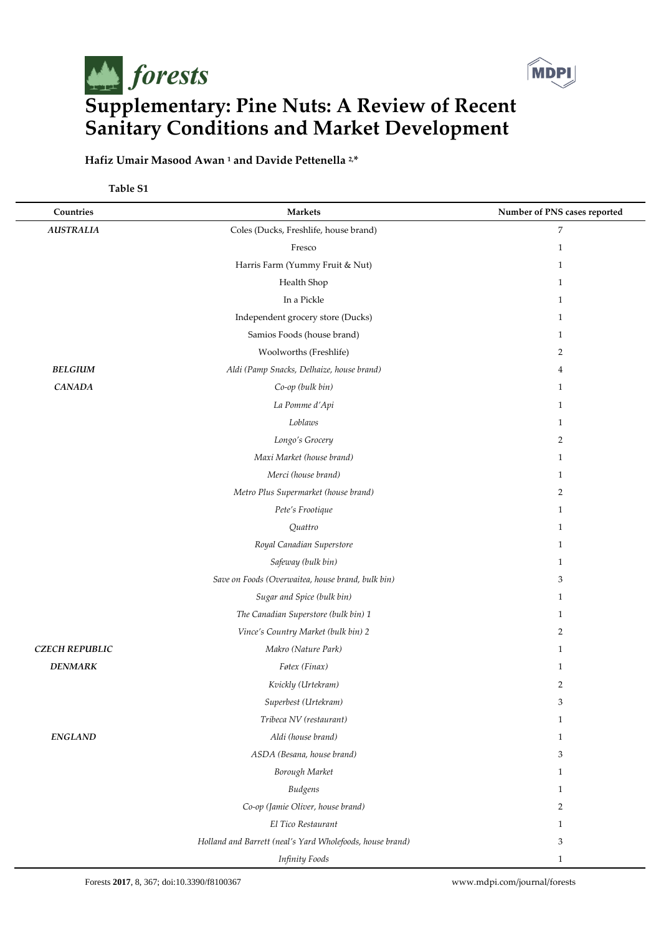

## **Hafiz Umair Masood Awan <sup>1</sup> and Davide Pettenella 2,\***

**Table S1**

| Countries             | <b>Markets</b>                                            | Number of PNS cases reported |
|-----------------------|-----------------------------------------------------------|------------------------------|
| <b>AUSTRALIA</b>      | Coles (Ducks, Freshlife, house brand)                     | $\overline{7}$               |
|                       | Fresco                                                    | $\mathbf{1}$                 |
|                       | Harris Farm (Yummy Fruit & Nut)                           | $\mathbf{1}$                 |
|                       | Health Shop                                               | $\mathbf{1}$                 |
|                       | In a Pickle                                               | $\mathbf{1}$                 |
|                       | Independent grocery store (Ducks)                         | $\mathbf{1}$                 |
|                       | Samios Foods (house brand)                                | $\mathbf{1}$                 |
|                       | Woolworths (Freshlife)                                    | $\overline{2}$               |
| <b>BELGIUM</b>        | Aldi (Pamp Snacks, Delhaize, house brand)                 | $\overline{4}$               |
| <b>CANADA</b>         | Co-op (bulk bin)                                          | $\mathbf{1}$                 |
|                       | La Pomme d'Api                                            | $\mathbf{1}$                 |
|                       | Loblaws                                                   | $\mathbf{1}$                 |
|                       | Longo's Grocery                                           | $\overline{2}$               |
|                       | Maxi Market (house brand)                                 | $\mathbf{1}$                 |
|                       | Merci (house brand)                                       | $\mathbf{1}$                 |
|                       | Metro Plus Supermarket (house brand)                      | $\overline{2}$               |
|                       | Pete's Frootique                                          | $\mathbf{1}$                 |
|                       | Quattro                                                   | $\mathbf{1}$                 |
|                       | Royal Canadian Superstore                                 | $\mathbf{1}$                 |
|                       | Safeway (bulk bin)                                        | $\mathbf{1}$                 |
|                       | Save on Foods (Overwaitea, house brand, bulk bin)         | 3                            |
|                       | Sugar and Spice (bulk bin)                                | $\mathbf{1}$                 |
|                       | The Canadian Superstore (bulk bin) 1                      | $\mathbf{1}$                 |
|                       | Vince's Country Market (bulk bin) 2                       | 2                            |
| <b>CZECH REPUBLIC</b> | Makro (Nature Park)                                       | $\mathbf{1}$                 |
| <b>DENMARK</b>        | Føtex (Finax)                                             | $\mathbf{1}$                 |
|                       | Kvickly (Urtekram)                                        | $\overline{2}$               |
|                       | Superbest (Urtekram)                                      | 3                            |
|                       | Tribeca NV (restaurant)                                   | $\mathbf{1}$                 |
| <b>ENGLAND</b>        | Aldi (house brand)                                        | $\mathbf{1}$                 |
|                       | ASDA (Besana, house brand)                                | 3                            |
|                       | Borough Market                                            | $\mathbf{1}$                 |
|                       | <b>Budgens</b>                                            | $\mathbf{1}$                 |
|                       | Co-op (Jamie Oliver, house brand)                         | 2                            |
|                       | El Tico Restaurant                                        | $\mathbf{1}$                 |
|                       | Holland and Barrett (neal's Yard Wholefoods, house brand) | 3                            |
|                       | <b>Infinity Foods</b>                                     | $\mathbf{1}$                 |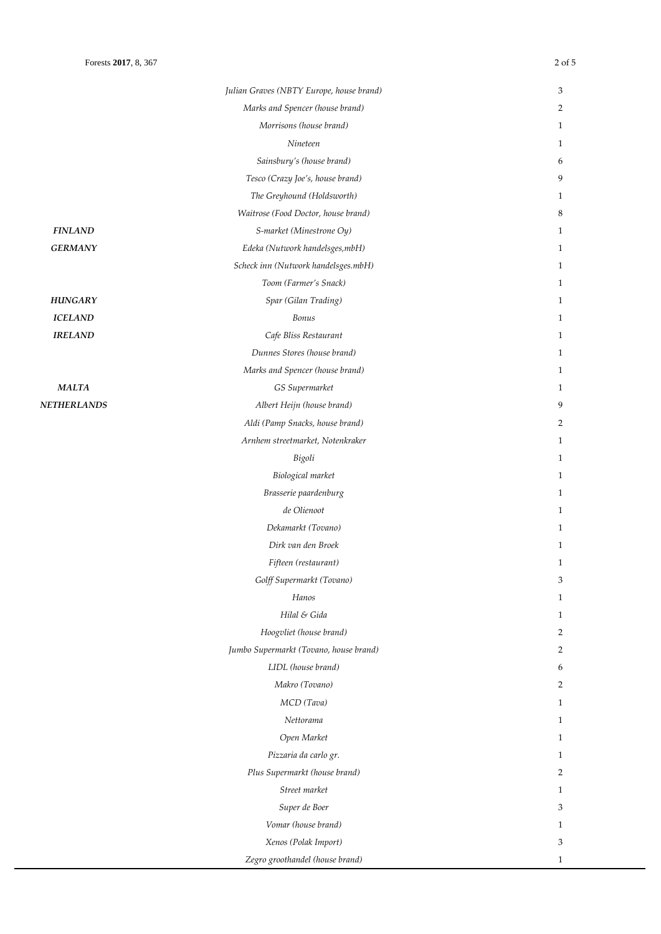$NETHERLANDS$ 

|                  | Julian Graves (NBTY Europe, house brand) | 3              |
|------------------|------------------------------------------|----------------|
|                  | Marks and Spencer (house brand)          | $\overline{2}$ |
|                  | Morrisons (house brand)                  | $\mathbf{1}$   |
|                  | Nineteen                                 | $\mathbf{1}$   |
|                  | Sainsbury's (house brand)                | 6              |
|                  | Tesco (Crazy Joe's, house brand)         | 9              |
|                  | The Greyhound (Holdsworth)               | $\mathbf{1}$   |
|                  | Waitrose (Food Doctor, house brand)      | 8              |
| <b>FINLAND</b>   | S-market (Minestrone Oy)                 | $\mathbf{1}$   |
| <b>GERMANY</b>   | Edeka (Nutwork handelsges, mbH)          | $\mathbf{1}$   |
|                  | Scheck inn (Nutwork handelsges.mbH)      | $\mathbf{1}$   |
|                  | Toom (Farmer's Snack)                    | $\mathbf{1}$   |
| HUNGARY          | Spar (Gilan Trading)                     | $\mathbf{1}$   |
| <b>ICELAND</b>   | Bonus                                    | $\mathbf{1}$   |
| <b>IRELAND</b>   | Cafe Bliss Restaurant                    | $\mathbf{1}$   |
|                  | Dunnes Stores (house brand)              | $\mathbf{1}$   |
|                  | Marks and Spencer (house brand)          | $\mathbf{1}$   |
| <b>MALTA</b>     | GS Supermarket                           | $\mathbf{1}$   |
| <b>THERLANDS</b> | Albert Heijn (house brand)               | 9              |
|                  | Aldi (Pamp Snacks, house brand)          | $\overline{2}$ |
|                  | Arnhem streetmarket, Notenkraker         | $\mathbf{1}$   |
|                  | Bigoli                                   | $\mathbf{1}$   |
|                  | Biological market                        | $\mathbf{1}$   |
|                  | Brasserie paardenburg                    | $\mathbf{1}$   |
|                  | de Olienoot                              | $\mathbf{1}$   |
|                  | Dekamarkt (Tovano)                       | $\mathbf{1}$   |
|                  | Dirk van den Broek                       | $\mathbf{1}$   |
|                  | Fifteen (restaurant)                     | $\mathbf{1}$   |
|                  | Golff Supermarkt (Tovano)                | 3              |
|                  | Hanos                                    | $\mathbf{1}$   |
|                  | Hilal & Gida                             | $\mathbf{1}$   |
|                  | Hoogvliet (house brand)                  | $\overline{2}$ |
|                  | Jumbo Supermarkt (Tovano, house brand)   | $\overline{2}$ |
|                  | LIDL (house brand)                       | 6              |
|                  | Makro (Tovano)                           | 2              |
|                  | MCD (Tava)                               | $\mathbf{1}$   |
|                  | Nettorama                                | $\mathbf{1}$   |
|                  | Open Market                              | $\mathbf{1}$   |
|                  | Pizzaria da carlo gr.                    | $\mathbf{1}$   |
|                  | Plus Supermarkt (house brand)            | $\overline{2}$ |
|                  | Street market                            | $\mathbf{1}$   |
|                  | Super de Boer                            | 3              |
|                  | Vomar (house brand)                      | $\mathbf{1}$   |

*Xenos (Polak Import)* 3 *Zegro groothandel (house brand)* 1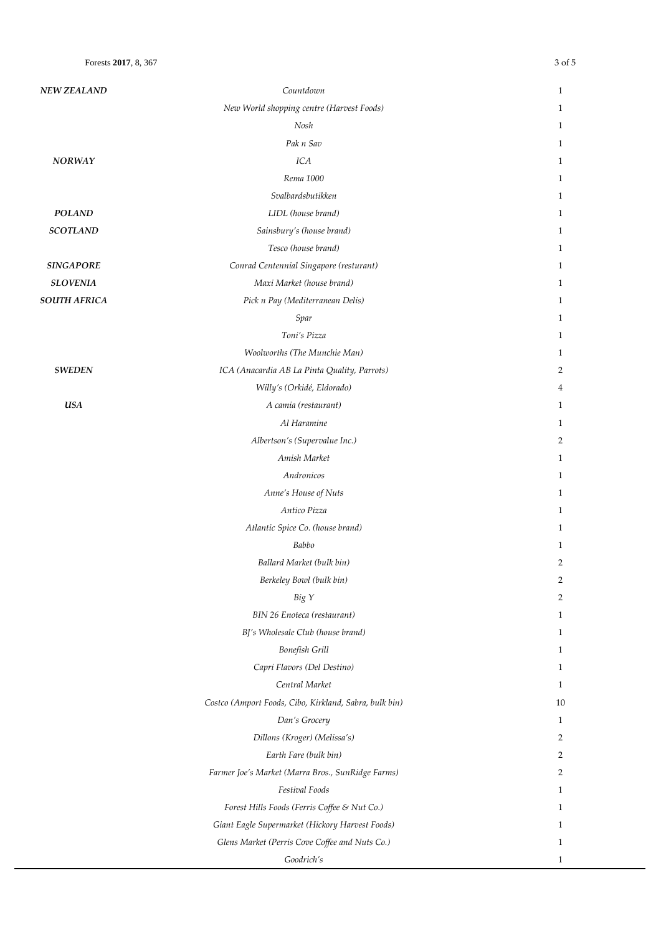| <b>NEW ZEALAND</b>  | Countdown                                              | $\mathbf{1}$   |
|---------------------|--------------------------------------------------------|----------------|
|                     | New World shopping centre (Harvest Foods)              | 1              |
|                     | Nosh                                                   | $\mathbf{1}$   |
|                     | Pak n Sav                                              | 1              |
| <b>NORWAY</b>       | ICA                                                    | 1              |
|                     | Rema 1000                                              | 1              |
|                     | Svalbardsbutikken                                      | 1              |
| <b>POLAND</b>       | LIDL (house brand)                                     | 1              |
| <b>SCOTLAND</b>     | Sainsbury's (house brand)                              | 1              |
|                     | Tesco (house brand)                                    | 1              |
| <b>SINGAPORE</b>    | Conrad Centennial Singapore (resturant)                | 1              |
| <b>SLOVENIA</b>     | Maxi Market (house brand)                              | $\mathbf{1}$   |
| <b>SOUTH AFRICA</b> | Pick n Pay (Mediterranean Delis)                       | 1              |
|                     | Spar                                                   | 1              |
|                     | Toni's Pizza                                           | 1              |
|                     | Woolworths (The Munchie Man)                           | $\mathbf{1}$   |
| <b>SWEDEN</b>       | ICA (Anacardia AB La Pinta Quality, Parrots)           | 2              |
|                     | Willy's (Orkidé, Eldorado)                             | 4              |
| <b>USA</b>          | A camia (restaurant)                                   | 1              |
|                     | Al Haramine                                            | 1              |
|                     | Albertson's (Supervalue Inc.)                          | 2              |
|                     | Amish Market                                           | $\mathbf{1}$   |
|                     | Andronicos                                             | 1              |
|                     | Anne's House of Nuts                                   | 1              |
|                     | Antico Pizza                                           | 1              |
|                     | Atlantic Spice Co. (house brand)                       | 1              |
|                     | Babbo                                                  | 1              |
|                     | Ballard Market (bulk bin)                              | $\overline{2}$ |
|                     | Berkeley Bowl (bulk bin)                               | 2              |
|                     | Big Y                                                  | 2              |
|                     | BIN 26 Enoteca (restaurant)                            | 1              |
|                     | BJ's Wholesale Club (house brand)                      | 1              |
|                     | Bonefish Grill                                         | 1              |
|                     | Capri Flavors (Del Destino)                            | 1              |
|                     | Central Market                                         | 1              |
|                     | Costco (Amport Foods, Cibo, Kirkland, Sabra, bulk bin) | 10             |
|                     | Dan's Grocery                                          | 1              |
|                     | Dillons (Kroger) (Melissa's)                           | 2              |
|                     | Earth Fare (bulk bin)                                  | 2              |
|                     | Farmer Joe's Market (Marra Bros., SunRidge Farms)      | 2              |
|                     | Festival Foods                                         | 1              |
|                     | Forest Hills Foods (Ferris Coffee & Nut Co.)           | 1              |
|                     | Giant Eagle Supermarket (Hickory Harvest Foods)        | 1              |
|                     | Glens Market (Perris Cove Coffee and Nuts Co.)         | 1              |
|                     | Goodrich's                                             | 1              |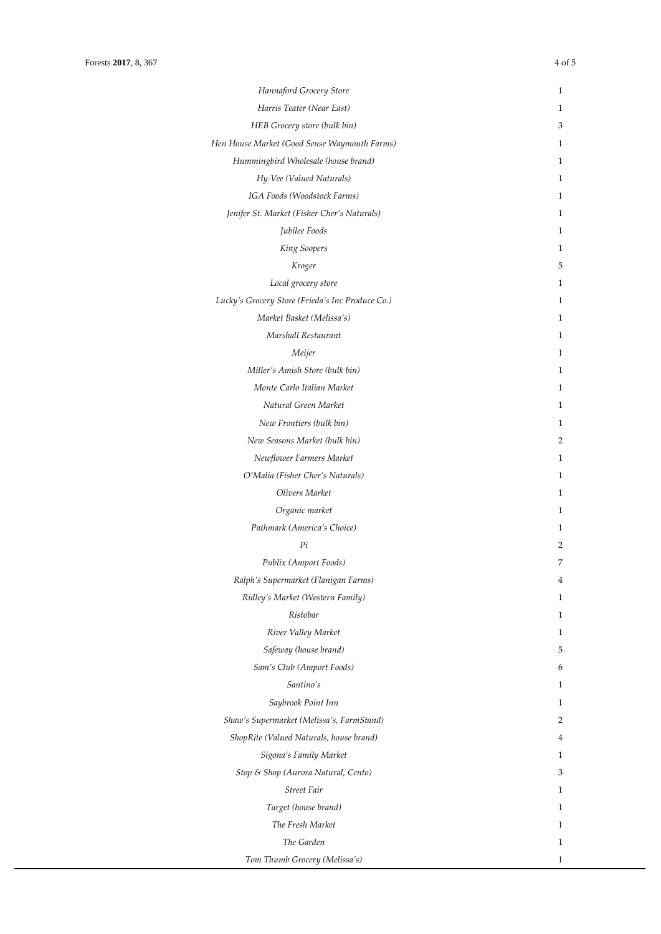| Hannaford Grocery Store                          | 1 |
|--------------------------------------------------|---|
| Harris Teater (Near East)                        | 1 |
| HEB Grocery store (bulk bin)                     | 3 |
| Hen House Market (Good Sense Waymouth Farms)     | 1 |
| Hummingbird Wholesale (house brand)              | 1 |
| Hy-Vee (Valued Naturals)                         | 1 |
| IGA Foods (Woodstock Farms)                      | 1 |
| Jenifer St. Market (Fisher Cher's Naturals)      | 1 |
| Jubilee Foods                                    | 1 |
| King Soopers                                     | 1 |
| Kroger                                           | 5 |
| Local grocery store                              | 1 |
| Lucky's Grocery Store (Frieda's Inc Produce Co.) | 1 |
| Market Basket (Melissa's)                        | 1 |
| Marshall Restaurant                              | 1 |
| Meijer                                           | 1 |
| Miller's Amish Store (bulk bin)                  | 1 |
| Monte Carlo Italian Market                       | 1 |
| Natural Green Market                             | 1 |
| New Frontiers (bulk bin)                         | 1 |
| New Seasons Market (bulk bin)                    | 2 |
| Newflower Farmers Market                         | 1 |
| O'Malia (Fisher Cher's Naturals)                 | 1 |
| Olivers Market                                   | 1 |
| Organic market                                   | 1 |
| Pathmark (America's Choice)                      | 1 |
| Pi                                               | 2 |
| Publix (Amport Foods)                            | 7 |
| Ralph's Supermarket (Flanigan Farms)             | 4 |
| Ridley's Market (Western Family)                 | 1 |
| Ristobar                                         | 1 |
| River Valley Market                              | 1 |
| Safeway (house brand)                            | 5 |
| Sam's Club (Amport Foods)                        | 6 |
| Santino's                                        | 1 |
| Saybrook Point Inn                               | 1 |
| Shaw's Supermarket (Melissa's, FarmStand)        | 2 |
| ShopRite (Valued Naturals, house brand)          | 4 |
| Sigona's Family Market                           | 1 |
| Stop & Shop (Aurora Natural, Cento)              | 3 |
| Street Fair                                      | 1 |
| Target (house brand)                             | 1 |
| The Fresh Market                                 | 1 |
| The Garden                                       | 1 |
| Tom Thumb Grocery (Melissa's)                    | 1 |